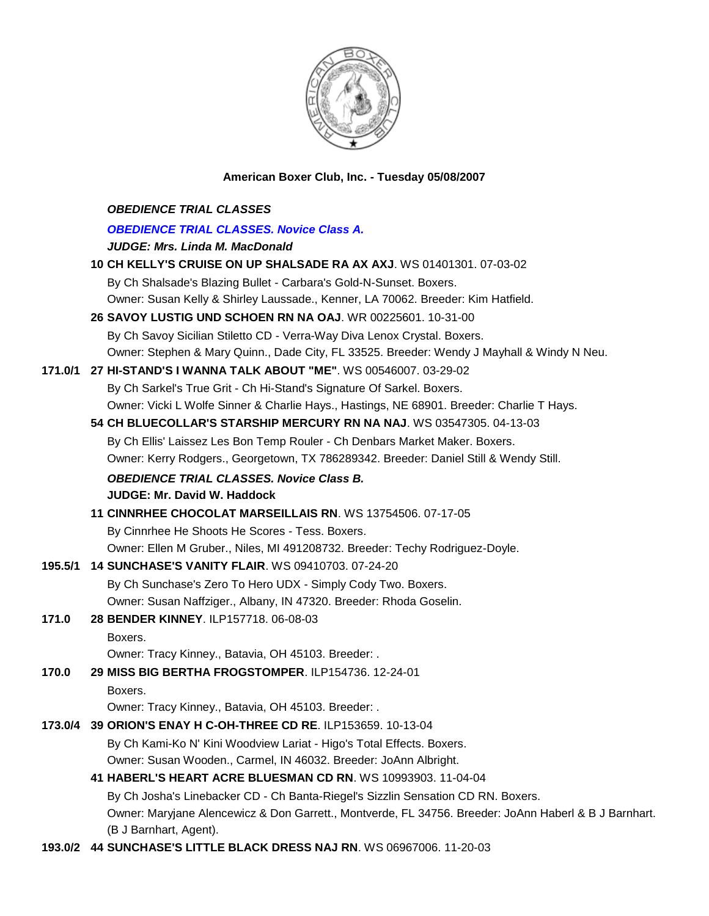

## **American Boxer Club, Inc. - Tuesday 05/08/2007**

|         | <b>OBEDIENCE TRIAL CLASSES</b>                                                                        |
|---------|-------------------------------------------------------------------------------------------------------|
|         | <b>OBEDIENCE TRIAL CLASSES. Novice Class A.</b>                                                       |
|         | <b>JUDGE: Mrs. Linda M. MacDonald</b>                                                                 |
|         | 10 CH KELLY'S CRUISE ON UP SHALSADE RA AX AXJ. WS 01401301. 07-03-02                                  |
|         | By Ch Shalsade's Blazing Bullet - Carbara's Gold-N-Sunset. Boxers.                                    |
|         | Owner: Susan Kelly & Shirley Laussade., Kenner, LA 70062. Breeder: Kim Hatfield.                      |
|         | 26 SAVOY LUSTIG UND SCHOEN RN NA OAJ. WR 00225601. 10-31-00                                           |
|         | By Ch Savoy Sicilian Stiletto CD - Verra-Way Diva Lenox Crystal. Boxers.                              |
|         | Owner: Stephen & Mary Quinn., Dade City, FL 33525. Breeder: Wendy J Mayhall & Windy N Neu.            |
| 171.0/1 | 27 HI-STAND'S I WANNA TALK ABOUT "ME". WS 00546007. 03-29-02                                          |
|         | By Ch Sarkel's True Grit - Ch Hi-Stand's Signature Of Sarkel. Boxers.                                 |
|         | Owner: Vicki L Wolfe Sinner & Charlie Hays., Hastings, NE 68901. Breeder: Charlie T Hays.             |
|         | 54 CH BLUECOLLAR'S STARSHIP MERCURY RN NA NAJ. WS 03547305. 04-13-03                                  |
|         | By Ch Ellis' Laissez Les Bon Temp Rouler - Ch Denbars Market Maker. Boxers.                           |
|         | Owner: Kerry Rodgers., Georgetown, TX 786289342. Breeder: Daniel Still & Wendy Still.                 |
|         | <b>OBEDIENCE TRIAL CLASSES. Novice Class B.</b>                                                       |
|         | <b>JUDGE: Mr. David W. Haddock</b>                                                                    |
|         | 11 CINNRHEE CHOCOLAT MARSEILLAIS RN. WS 13754506. 07-17-05                                            |
|         | By Cinnrhee He Shoots He Scores - Tess. Boxers.                                                       |
|         | Owner: Ellen M Gruber., Niles, MI 491208732. Breeder: Techy Rodriguez-Doyle.                          |
| 195.5/1 | 14 SUNCHASE'S VANITY FLAIR. WS 09410703. 07-24-20                                                     |
|         | By Ch Sunchase's Zero To Hero UDX - Simply Cody Two. Boxers.                                          |
|         | Owner: Susan Naffziger., Albany, IN 47320. Breeder: Rhoda Goselin.                                    |
| 171.0   | 28 BENDER KINNEY. ILP157718. 06-08-03                                                                 |
|         | Boxers.                                                                                               |
|         | Owner: Tracy Kinney., Batavia, OH 45103. Breeder: .                                                   |
| 170.0   | 29 MISS BIG BERTHA FROGSTOMPER, ILP154736, 12-24-01                                                   |
|         | Boxers.                                                                                               |
|         | Owner: Tracy Kinney., Batavia, OH 45103. Breeder: .                                                   |
| 173.0/4 | 39 ORION'S ENAY H C-OH-THREE CD RE. ILP153659. 10-13-04                                               |
|         | By Ch Kami-Ko N' Kini Woodview Lariat - Higo's Total Effects. Boxers.                                 |
|         | Owner: Susan Wooden., Carmel, IN 46032. Breeder: JoAnn Albright.                                      |
|         | 41 HABERL'S HEART ACRE BLUESMAN CD RN. WS 10993903. 11-04-04                                          |
|         | By Ch Josha's Linebacker CD - Ch Banta-Riegel's Sizzlin Sensation CD RN. Boxers.                      |
|         | Owner: Maryjane Alencewicz & Don Garrett., Montverde, FL 34756. Breeder: JoAnn Haberl & B J Barnhart. |
|         | (B J Barnhart, Agent).                                                                                |
|         |                                                                                                       |

**193.0/2 44 SUNCHASE'S LITTLE BLACK DRESS NAJ RN**. WS 06967006. 11-20-03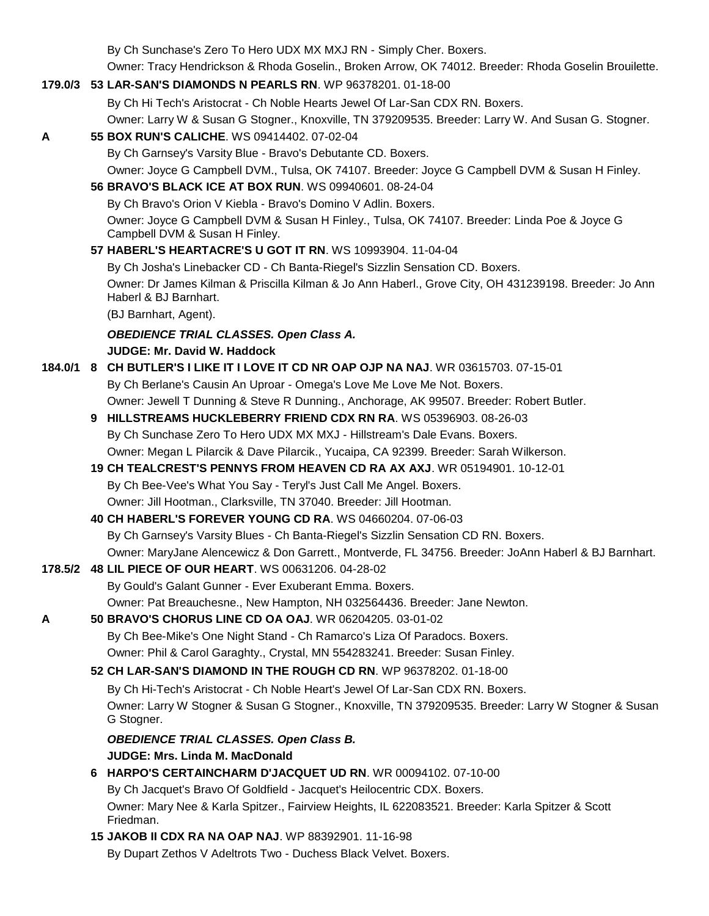By Ch Sunchase's Zero To Hero UDX MX MXJ RN - Simply Cher. Boxers.

Owner: Tracy Hendrickson & Rhoda Goselin., Broken Arrow, OK 74012. Breeder: Rhoda Goselin Brouilette.

#### **179.0/3 53 LAR-SAN'S DIAMONDS N PEARLS RN**. WP 96378201. 01-18-00

By Ch Hi Tech's Aristocrat - Ch Noble Hearts Jewel Of Lar-San CDX RN. Boxers.

Owner: Larry W & Susan G Stogner., Knoxville, TN 379209535. Breeder: Larry W. And Susan G. Stogner.

## **A 55 BOX RUN'S CALICHE**. WS 09414402. 07-02-04 By Ch Garnsey's Varsity Blue - Bravo's Debutante CD. Boxers. Owner: Joyce G Campbell DVM., Tulsa, OK 74107. Breeder: Joyce G Campbell DVM & Susan H Finley. **56 BRAVO'S BLACK ICE AT BOX RUN**. WS 09940601. 08-24-04 By Ch Bravo's Orion V Kiebla - Bravo's Domino V Adlin. Boxers.

Owner: Joyce G Campbell DVM & Susan H Finley., Tulsa, OK 74107. Breeder: Linda Poe & Joyce G Campbell DVM & Susan H Finley.

**57 HABERL'S HEARTACRE'S U GOT IT RN**. WS 10993904. 11-04-04

By Ch Josha's Linebacker CD - Ch Banta-Riegel's Sizzlin Sensation CD. Boxers. Owner: Dr James Kilman & Priscilla Kilman & Jo Ann Haberl., Grove City, OH 431239198. Breeder: Jo Ann Haberl & BJ Barnhart.

(BJ Barnhart, Agent).

## *OBEDIENCE TRIAL CLASSES. Open Class A.*

#### **JUDGE: Mr. David W. Haddock**

# **184.0/1 8 CH BUTLER'S I LIKE IT I LOVE IT CD NR OAP OJP NA NAJ**. WR 03615703. 07-15-01

By Ch Berlane's Causin An Uproar - Omega's Love Me Love Me Not. Boxers. Owner: Jewell T Dunning & Steve R Dunning., Anchorage, AK 99507. Breeder: Robert Butler.

- **9 HILLSTREAMS HUCKLEBERRY FRIEND CDX RN RA**. WS 05396903. 08-26-03 By Ch Sunchase Zero To Hero UDX MX MXJ - Hillstream's Dale Evans. Boxers. Owner: Megan L Pilarcik & Dave Pilarcik., Yucaipa, CA 92399. Breeder: Sarah Wilkerson.
- **19 CH TEALCREST'S PENNYS FROM HEAVEN CD RA AX AXJ**. WR 05194901. 10-12-01 By Ch Bee-Vee's What You Say - Teryl's Just Call Me Angel. Boxers. Owner: Jill Hootman., Clarksville, TN 37040. Breeder: Jill Hootman.

# **40 CH HABERL'S FOREVER YOUNG CD RA**. WS 04660204. 07-06-03 By Ch Garnsey's Varsity Blues - Ch Banta-Riegel's Sizzlin Sensation CD RN. Boxers. Owner: MaryJane Alencewicz & Don Garrett., Montverde, FL 34756. Breeder: JoAnn Haberl & BJ Barnhart.

#### **178.5/2 48 LIL PIECE OF OUR HEART**. WS 00631206. 04-28-02 By Gould's Galant Gunner - Ever Exuberant Emma. Boxers. Owner: Pat Breauchesne., New Hampton, NH 032564436. Breeder: Jane Newton.

# **A 50 BRAVO'S CHORUS LINE CD OA OAJ**. WR 06204205. 03-01-02

By Ch Bee-Mike's One Night Stand - Ch Ramarco's Liza Of Paradocs. Boxers. Owner: Phil & Carol Garaghty., Crystal, MN 554283241. Breeder: Susan Finley.

#### **52 CH LAR-SAN'S DIAMOND IN THE ROUGH CD RN**. WP 96378202. 01-18-00

By Ch Hi-Tech's Aristocrat - Ch Noble Heart's Jewel Of Lar-San CDX RN. Boxers.

Owner: Larry W Stogner & Susan G Stogner., Knoxville, TN 379209535. Breeder: Larry W Stogner & Susan G Stogner.

# *OBEDIENCE TRIAL CLASSES. Open Class B.*

#### **JUDGE: Mrs. Linda M. MacDonald**

#### **6 HARPO'S CERTAINCHARM D'JACQUET UD RN**. WR 00094102. 07-10-00 By Ch Jacquet's Bravo Of Goldfield - Jacquet's Heilocentric CDX. Boxers. Owner: Mary Nee & Karla Spitzer., Fairview Heights, IL 622083521. Breeder: Karla Spitzer & Scott Friedman.

## **15 JAKOB II CDX RA NA OAP NAJ**. WP 88392901. 11-16-98 By Dupart Zethos V Adeltrots Two - Duchess Black Velvet. Boxers.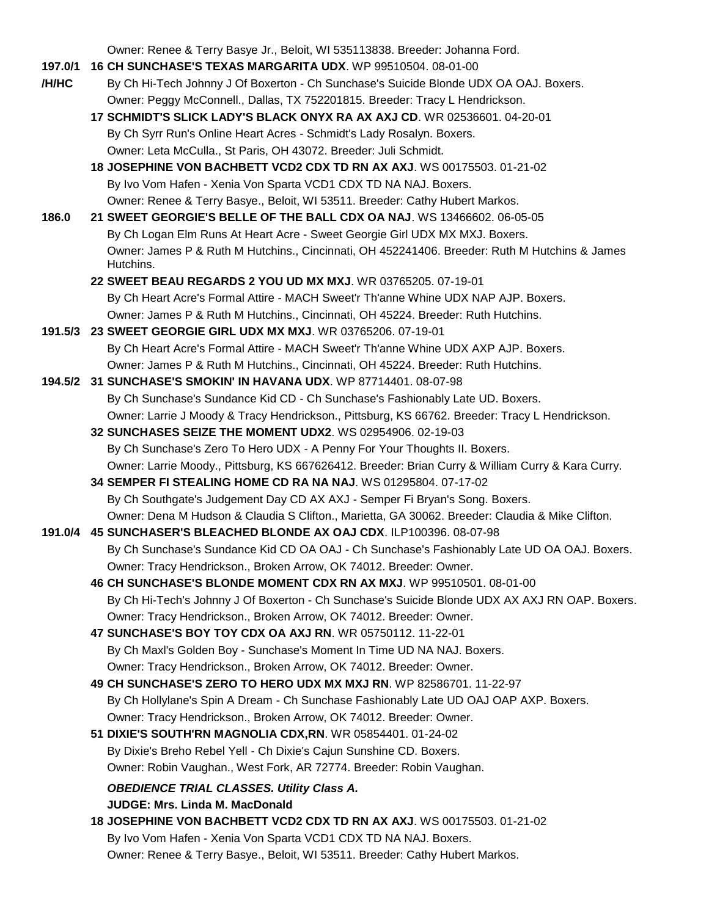Owner: Renee & Terry Basye Jr., Beloit, WI 535113838. Breeder: Johanna Ford.

- **197.0/1 16 CH SUNCHASE'S TEXAS MARGARITA UDX**. WP 99510504. 08-01-00
- **/H/HC** By Ch Hi-Tech Johnny J Of Boxerton Ch Sunchase's Suicide Blonde UDX OA OAJ. Boxers. Owner: Peggy McConnell., Dallas, TX 752201815. Breeder: Tracy L Hendrickson.
	- **17 SCHMIDT'S SLICK LADY'S BLACK ONYX RA AX AXJ CD**. WR 02536601. 04-20-01 By Ch Syrr Run's Online Heart Acres - Schmidt's Lady Rosalyn. Boxers. Owner: Leta McCulla., St Paris, OH 43072. Breeder: Juli Schmidt.
	- **18 JOSEPHINE VON BACHBETT VCD2 CDX TD RN AX AXJ**. WS 00175503. 01-21-02 By Ivo Vom Hafen - Xenia Von Sparta VCD1 CDX TD NA NAJ. Boxers. Owner: Renee & Terry Basye., Beloit, WI 53511. Breeder: Cathy Hubert Markos.
- **186.0 21 SWEET GEORGIE'S BELLE OF THE BALL CDX OA NAJ**. WS 13466602. 06-05-05 By Ch Logan Elm Runs At Heart Acre - Sweet Georgie Girl UDX MX MXJ. Boxers. Owner: James P & Ruth M Hutchins., Cincinnati, OH 452241406. Breeder: Ruth M Hutchins & James Hutchins.
	- **22 SWEET BEAU REGARDS 2 YOU UD MX MXJ**. WR 03765205. 07-19-01 By Ch Heart Acre's Formal Attire - MACH Sweet'r Th'anne Whine UDX NAP AJP. Boxers. Owner: James P & Ruth M Hutchins., Cincinnati, OH 45224. Breeder: Ruth Hutchins.
- **191.5/3 23 SWEET GEORGIE GIRL UDX MX MXJ**. WR 03765206. 07-19-01 By Ch Heart Acre's Formal Attire - MACH Sweet'r Th'anne Whine UDX AXP AJP. Boxers. Owner: James P & Ruth M Hutchins., Cincinnati, OH 45224. Breeder: Ruth Hutchins.
- **194.5/2 31 SUNCHASE'S SMOKIN' IN HAVANA UDX**. WP 87714401. 08-07-98 By Ch Sunchase's Sundance Kid CD - Ch Sunchase's Fashionably Late UD. Boxers. Owner: Larrie J Moody & Tracy Hendrickson., Pittsburg, KS 66762. Breeder: Tracy L Hendrickson.
	- **32 SUNCHASES SEIZE THE MOMENT UDX2**. WS 02954906. 02-19-03 By Ch Sunchase's Zero To Hero UDX - A Penny For Your Thoughts II. Boxers. Owner: Larrie Moody., Pittsburg, KS 667626412. Breeder: Brian Curry & William Curry & Kara Curry.
	- **34 SEMPER FI STEALING HOME CD RA NA NAJ**. WS 01295804. 07-17-02 By Ch Southgate's Judgement Day CD AX AXJ - Semper Fi Bryan's Song. Boxers. Owner: Dena M Hudson & Claudia S Clifton., Marietta, GA 30062. Breeder: Claudia & Mike Clifton.
- **191.0/4 45 SUNCHASER'S BLEACHED BLONDE AX OAJ CDX**. ILP100396. 08-07-98 By Ch Sunchase's Sundance Kid CD OA OAJ - Ch Sunchase's Fashionably Late UD OA OAJ. Boxers. Owner: Tracy Hendrickson., Broken Arrow, OK 74012. Breeder: Owner.
	- **46 CH SUNCHASE'S BLONDE MOMENT CDX RN AX MXJ**. WP 99510501. 08-01-00 By Ch Hi-Tech's Johnny J Of Boxerton - Ch Sunchase's Suicide Blonde UDX AX AXJ RN OAP. Boxers. Owner: Tracy Hendrickson., Broken Arrow, OK 74012. Breeder: Owner.
	- **47 SUNCHASE'S BOY TOY CDX OA AXJ RN**. WR 05750112. 11-22-01 By Ch Maxl's Golden Boy - Sunchase's Moment In Time UD NA NAJ. Boxers. Owner: Tracy Hendrickson., Broken Arrow, OK 74012. Breeder: Owner.
	- **49 CH SUNCHASE'S ZERO TO HERO UDX MX MXJ RN**. WP 82586701. 11-22-97 By Ch Hollylane's Spin A Dream - Ch Sunchase Fashionably Late UD OAJ OAP AXP. Boxers. Owner: Tracy Hendrickson., Broken Arrow, OK 74012. Breeder: Owner.
	- **51 DIXIE'S SOUTH'RN MAGNOLIA CDX,RN**. WR 05854401. 01-24-02 By Dixie's Breho Rebel Yell - Ch Dixie's Cajun Sunshine CD. Boxers. Owner: Robin Vaughan., West Fork, AR 72774. Breeder: Robin Vaughan.

*OBEDIENCE TRIAL CLASSES. Utility Class A.* **JUDGE: Mrs. Linda M. MacDonald** 

**18 JOSEPHINE VON BACHBETT VCD2 CDX TD RN AX AXJ**. WS 00175503. 01-21-02 By Ivo Vom Hafen - Xenia Von Sparta VCD1 CDX TD NA NAJ. Boxers. Owner: Renee & Terry Basye., Beloit, WI 53511. Breeder: Cathy Hubert Markos.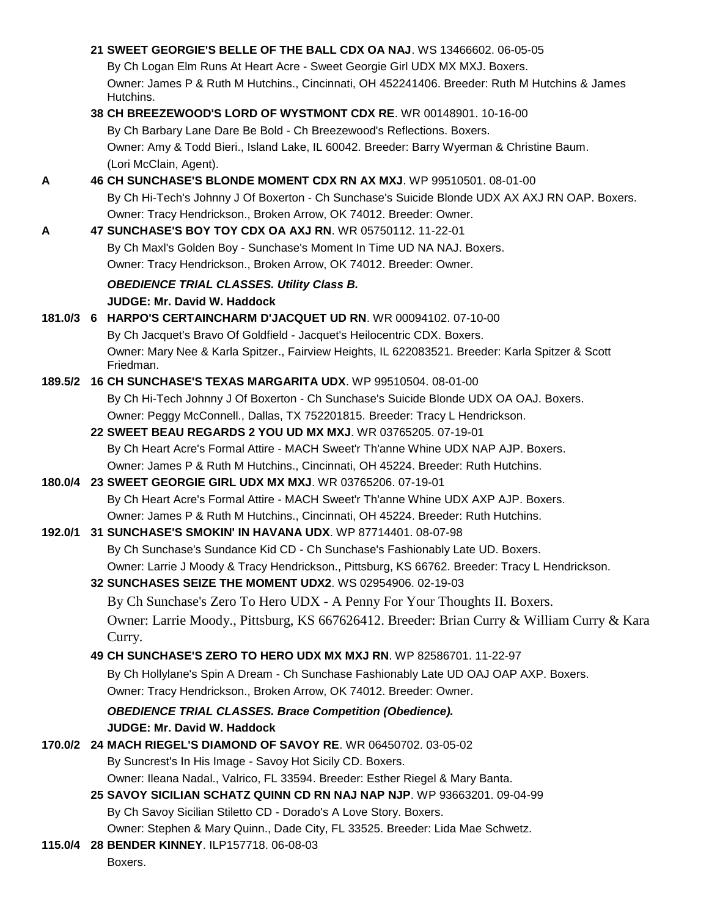|         | 21 SWEET GEORGIE'S BELLE OF THE BALL CDX OA NAJ. WS 13466602. 06-05-05                                        |
|---------|---------------------------------------------------------------------------------------------------------------|
|         | By Ch Logan Elm Runs At Heart Acre - Sweet Georgie Girl UDX MX MXJ. Boxers.                                   |
|         | Owner: James P & Ruth M Hutchins., Cincinnati, OH 452241406. Breeder: Ruth M Hutchins & James<br>Hutchins.    |
|         | 38 CH BREEZEWOOD'S LORD OF WYSTMONT CDX RE. WR 00148901. 10-16-00                                             |
|         | By Ch Barbary Lane Dare Be Bold - Ch Breezewood's Reflections. Boxers.                                        |
|         | Owner: Amy & Todd Bieri., Island Lake, IL 60042. Breeder: Barry Wyerman & Christine Baum.                     |
|         | (Lori McClain, Agent).                                                                                        |
| A       | 46 CH SUNCHASE'S BLONDE MOMENT CDX RN AX MXJ. WP 99510501. 08-01-00                                           |
|         | By Ch Hi-Tech's Johnny J Of Boxerton - Ch Sunchase's Suicide Blonde UDX AX AXJ RN OAP. Boxers.                |
|         | Owner: Tracy Hendrickson., Broken Arrow, OK 74012. Breeder: Owner.                                            |
| A       | 47 SUNCHASE'S BOY TOY CDX OA AXJ RN. WR 05750112. 11-22-01                                                    |
|         | By Ch Maxl's Golden Boy - Sunchase's Moment In Time UD NA NAJ. Boxers.                                        |
|         | Owner: Tracy Hendrickson., Broken Arrow, OK 74012. Breeder: Owner.                                            |
|         | <b>OBEDIENCE TRIAL CLASSES. Utility Class B.</b>                                                              |
|         | <b>JUDGE: Mr. David W. Haddock</b>                                                                            |
|         | 181.0/3 6 HARPO'S CERTAINCHARM D'JACQUET UD RN. WR 00094102. 07-10-00                                         |
|         | By Ch Jacquet's Bravo Of Goldfield - Jacquet's Heilocentric CDX. Boxers.                                      |
|         | Owner: Mary Nee & Karla Spitzer., Fairview Heights, IL 622083521. Breeder: Karla Spitzer & Scott<br>Friedman. |
| 189.5/2 | 16 CH SUNCHASE'S TEXAS MARGARITA UDX. WP 99510504. 08-01-00                                                   |
|         | By Ch Hi-Tech Johnny J Of Boxerton - Ch Sunchase's Suicide Blonde UDX OA OAJ. Boxers.                         |
|         | Owner: Peggy McConnell., Dallas, TX 752201815. Breeder: Tracy L Hendrickson.                                  |
|         | 22 SWEET BEAU REGARDS 2 YOU UD MX MXJ. WR 03765205. 07-19-01                                                  |
|         | By Ch Heart Acre's Formal Attire - MACH Sweet'r Th'anne Whine UDX NAP AJP. Boxers.                            |
|         | Owner: James P & Ruth M Hutchins., Cincinnati, OH 45224. Breeder: Ruth Hutchins.                              |
|         | 180.0/4 23 SWEET GEORGIE GIRL UDX MX MXJ. WR 03765206. 07-19-01                                               |
|         | By Ch Heart Acre's Formal Attire - MACH Sweet'r Th'anne Whine UDX AXP AJP. Boxers.                            |
|         | Owner: James P & Ruth M Hutchins., Cincinnati, OH 45224. Breeder: Ruth Hutchins.                              |
| 192.0/1 | 31 SUNCHASE'S SMOKIN' IN HAVANA UDX. WP 87714401. 08-07-98                                                    |
|         | By Ch Sunchase's Sundance Kid CD - Ch Sunchase's Fashionably Late UD. Boxers.                                 |
|         | Owner: Larrie J Moody & Tracy Hendrickson., Pittsburg, KS 66762. Breeder: Tracy L Hendrickson.                |
|         | 32 SUNCHASES SEIZE THE MOMENT UDX2. WS 02954906. 02-19-03                                                     |
|         | By Ch Sunchase's Zero To Hero UDX - A Penny For Your Thoughts II. Boxers.                                     |
|         | Owner: Larrie Moody., Pittsburg, KS 667626412. Breeder: Brian Curry & William Curry & Kara<br>Curry.          |
|         | 49 CH SUNCHASE'S ZERO TO HERO UDX MX MXJ RN. WP 82586701. 11-22-97                                            |
|         | By Ch Hollylane's Spin A Dream - Ch Sunchase Fashionably Late UD OAJ OAP AXP. Boxers.                         |
|         | Owner: Tracy Hendrickson., Broken Arrow, OK 74012. Breeder: Owner.                                            |
|         | <b>OBEDIENCE TRIAL CLASSES. Brace Competition (Obedience).</b>                                                |
|         | <b>JUDGE: Mr. David W. Haddock</b>                                                                            |
|         | 170.0/2 24 MACH RIEGEL'S DIAMOND OF SAVOY RE. WR 06450702. 03-05-02                                           |
|         | By Suncrest's In His Image - Savoy Hot Sicily CD. Boxers.                                                     |
|         | Owner: Ileana Nadal., Valrico, FL 33594. Breeder: Esther Riegel & Mary Banta.                                 |
|         | 25 SAVOY SICILIAN SCHATZ QUINN CD RN NAJ NAP NJP. WP 93663201. 09-04-99                                       |
|         | By Ch Savoy Sicilian Stiletto CD - Dorado's A Love Story. Boxers.                                             |
|         | Owner: Stephen & Mary Quinn., Dade City, FL 33525. Breeder: Lida Mae Schwetz.                                 |
|         | 115.0/4 28 BENDER KINNEY. ILP157718. 06-08-03                                                                 |
|         | Boxers.                                                                                                       |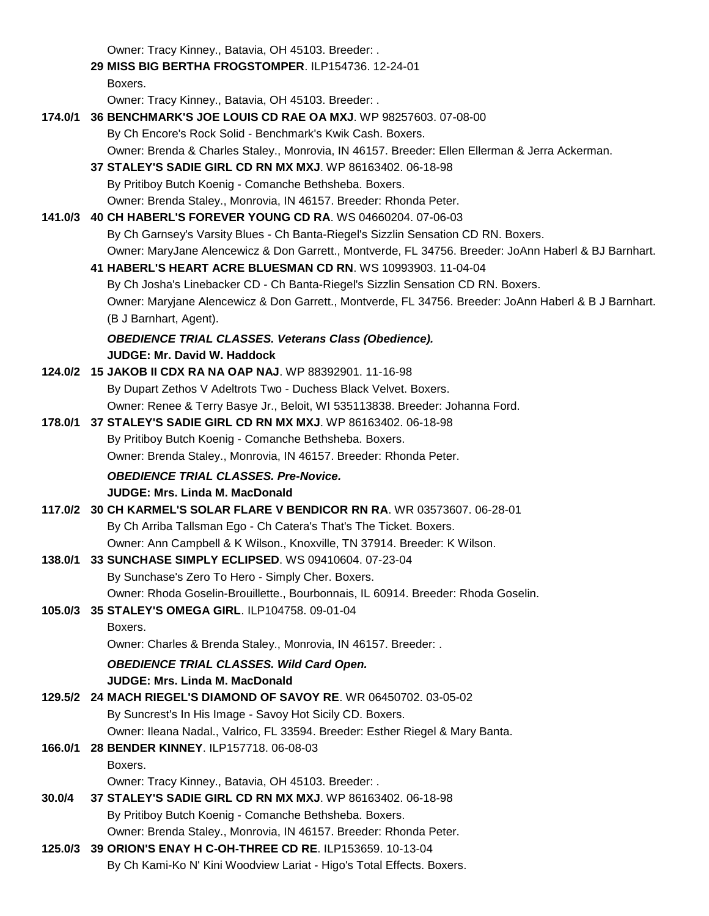Owner: Tracy Kinney., Batavia, OH 45103. Breeder: .

|         | Owner. Tracy Kinney., Batavia, OH 45103. Breeder                                                                       |
|---------|------------------------------------------------------------------------------------------------------------------------|
|         | 29 MISS BIG BERTHA FROGSTOMPER. ILP154736. 12-24-01                                                                    |
|         | Boxers.                                                                                                                |
|         | Owner: Tracy Kinney., Batavia, OH 45103. Breeder: .                                                                    |
| 174.0/1 | 36 BENCHMARK'S JOE LOUIS CD RAE OA MXJ. WP 98257603. 07-08-00                                                          |
|         | By Ch Encore's Rock Solid - Benchmark's Kwik Cash. Boxers.                                                             |
|         | Owner: Brenda & Charles Staley., Monrovia, IN 46157. Breeder: Ellen Ellerman & Jerra Ackerman.                         |
|         | 37 STALEY'S SADIE GIRL CD RN MX MXJ. WP 86163402. 06-18-98                                                             |
|         | By Pritiboy Butch Koenig - Comanche Bethsheba. Boxers.                                                                 |
|         | Owner: Brenda Staley., Monrovia, IN 46157. Breeder: Rhonda Peter.                                                      |
| 141.0/3 | 40 CH HABERL'S FOREVER YOUNG CD RA. WS 04660204. 07-06-03                                                              |
|         | By Ch Garnsey's Varsity Blues - Ch Banta-Riegel's Sizzlin Sensation CD RN. Boxers.                                     |
|         | Owner: MaryJane Alencewicz & Don Garrett., Montverde, FL 34756. Breeder: JoAnn Haberl & BJ Barnhart.                   |
|         | 41 HABERL'S HEART ACRE BLUESMAN CD RN. WS 10993903. 11-04-04                                                           |
|         |                                                                                                                        |
|         | By Ch Josha's Linebacker CD - Ch Banta-Riegel's Sizzlin Sensation CD RN. Boxers.                                       |
|         | Owner: Maryjane Alencewicz & Don Garrett., Montverde, FL 34756. Breeder: JoAnn Haberl & B J Barnhart.                  |
|         | (B J Barnhart, Agent).                                                                                                 |
|         | <b>OBEDIENCE TRIAL CLASSES. Veterans Class (Obedience).</b>                                                            |
|         | <b>JUDGE: Mr. David W. Haddock</b>                                                                                     |
|         | 124.0/2 15 JAKOB II CDX RA NA OAP NAJ. WP 88392901. 11-16-98                                                           |
|         | By Dupart Zethos V Adeltrots Two - Duchess Black Velvet. Boxers.                                                       |
|         | Owner: Renee & Terry Basye Jr., Beloit, WI 535113838. Breeder: Johanna Ford.                                           |
|         | 178.0/1 37 STALEY'S SADIE GIRL CD RN MX MXJ. WP 86163402. 06-18-98                                                     |
|         | By Pritiboy Butch Koenig - Comanche Bethsheba. Boxers.                                                                 |
|         | Owner: Brenda Staley., Monrovia, IN 46157. Breeder: Rhonda Peter.                                                      |
|         | <b>OBEDIENCE TRIAL CLASSES. Pre-Novice.</b>                                                                            |
|         | <b>JUDGE: Mrs. Linda M. MacDonald</b>                                                                                  |
| 117.0/2 | 30 CH KARMEL'S SOLAR FLARE V BENDICOR RN RA. WR 03573607. 06-28-01                                                     |
|         | By Ch Arriba Tallsman Ego - Ch Catera's That's The Ticket. Boxers.                                                     |
|         | Owner: Ann Campbell & K Wilson., Knoxville, TN 37914. Breeder: K Wilson.                                               |
| 138.0/1 | 33 SUNCHASE SIMPLY ECLIPSED. WS 09410604. 07-23-04                                                                     |
|         | By Sunchase's Zero To Hero - Simply Cher. Boxers.                                                                      |
|         | Owner: Rhoda Goselin-Brouillette., Bourbonnais, IL 60914. Breeder: Rhoda Goselin.                                      |
| 105.0/3 | 35 STALEY'S OMEGA GIRL. ILP104758. 09-01-04                                                                            |
|         | Boxers.                                                                                                                |
|         | Owner: Charles & Brenda Staley., Monrovia, IN 46157. Breeder: .                                                        |
|         | <b>OBEDIENCE TRIAL CLASSES. Wild Card Open.</b>                                                                        |
|         | <b>JUDGE: Mrs. Linda M. MacDonald</b>                                                                                  |
| 129.5/2 | 24 MACH RIEGEL'S DIAMOND OF SAVOY RE. WR 06450702. 03-05-02                                                            |
|         | By Suncrest's In His Image - Savoy Hot Sicily CD. Boxers.                                                              |
|         |                                                                                                                        |
|         | Owner: Ileana Nadal., Valrico, FL 33594. Breeder: Esther Riegel & Mary Banta.<br>28 BENDER KINNEY. ILP157718. 06-08-03 |
| 166.0/1 |                                                                                                                        |
|         | Boxers.                                                                                                                |
|         | Owner: Tracy Kinney., Batavia, OH 45103. Breeder: .                                                                    |
| 30.0/4  | 37 STALEY'S SADIE GIRL CD RN MX MXJ. WP 86163402. 06-18-98                                                             |
|         | By Pritiboy Butch Koenig - Comanche Bethsheba. Boxers.                                                                 |
|         | Owner: Brenda Staley., Monrovia, IN 46157. Breeder: Rhonda Peter.                                                      |

**125.0/3 39 ORION'S ENAY H C-OH-THREE CD RE**. ILP153659. 10-13-04 By Ch Kami-Ko N' Kini Woodview Lariat - Higo's Total Effects. Boxers.